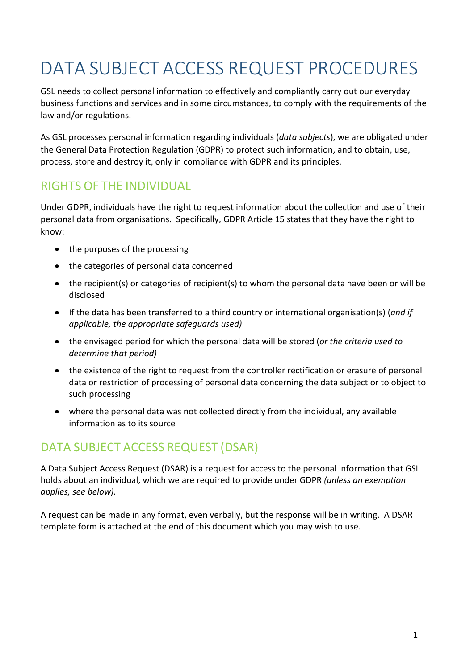# DATA SUBJECT ACCESS REQUEST PROCEDURES

GSL needs to collect personal information to effectively and compliantly carry out our everyday business functions and services and in some circumstances, to comply with the requirements of the law and/or regulations.

As GSL processes personal information regarding individuals (*data subjects*), we are obligated under the General Data Protection Regulation (GDPR) to protect such information, and to obtain, use, process, store and destroy it, only in compliance with GDPR and its principles.

# RIGHTS OF THE INDIVIDUAL

Under GDPR, individuals have the right to request information about the collection and use of their personal data from organisations. Specifically, GDPR Article 15 states that they have the right to know:

- the purposes of the processing
- the categories of personal data concerned
- the recipient(s) or categories of recipient(s) to whom the personal data have been or will be disclosed
- If the data has been transferred to a third country or international organisation(s) (*and if applicable, the appropriate safeguards used)*
- the envisaged period for which the personal data will be stored (*or the criteria used to determine that period)*
- the existence of the right to request from the controller rectification or erasure of personal data or restriction of processing of personal data concerning the data subject or to object to such processing
- where the personal data was not collected directly from the individual, any available information as to its source

# DATA SUBJECT ACCESS REQUEST (DSAR)

A Data Subject Access Request (DSAR) is a request for access to the personal information that GSL holds about an individual, which we are required to provide under GDPR *(unless an exemption applies, see below).*

A request can be made in any format, even verbally, but the response will be in writing. A DSAR template form is attached at the end of this document which you may wish to use.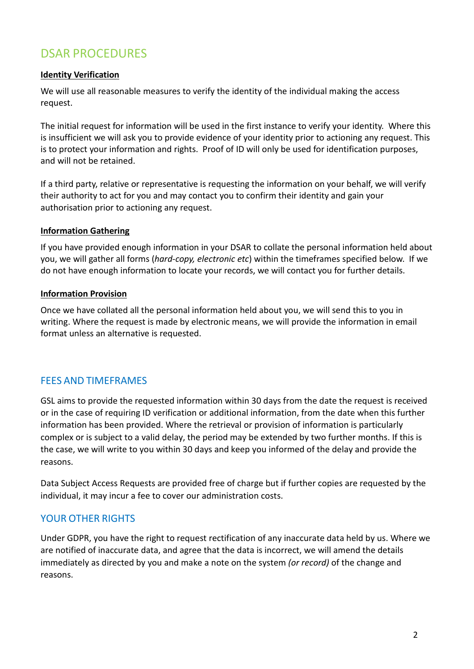## DSAR PROCEDURES

#### **Identity Verification**

We will use all reasonable measures to verify the identity of the individual making the access request.

The initial request for information will be used in the first instance to verify your identity. Where this is insufficient we will ask you to provide evidence of your identity prior to actioning any request. This is to protect your information and rights. Proof of ID will only be used for identification purposes, and will not be retained.

If a third party, relative or representative is requesting the information on your behalf, we will verify their authority to act for you and may contact you to confirm their identity and gain your authorisation prior to actioning any request.

#### **Information Gathering**

If you have provided enough information in your DSAR to collate the personal information held about you, we will gather all forms (*hard-copy, electronic etc*) within the timeframes specified below. If we do not have enough information to locate your records, we will contact you for further details.

#### **Information Provision**

Once we have collated all the personal information held about you, we will send this to you in writing. Where the request is made by electronic means, we will provide the information in email format unless an alternative is requested.

#### FEES AND TIMEFRAMES

GSL aims to provide the requested information within 30 days from the date the request is received or in the case of requiring ID verification or additional information, from the date when this further information has been provided. Where the retrieval or provision of information is particularly complex or is subject to a valid delay, the period may be extended by two further months. If this is the case, we will write to you within 30 days and keep you informed of the delay and provide the reasons.

Data Subject Access Requests are provided free of charge but if further copies are requested by the individual, it may incur a fee to cover our administration costs.

### YOUR OTHER RIGHTS

Under GDPR, you have the right to request rectification of any inaccurate data held by us. Where we are notified of inaccurate data, and agree that the data is incorrect, we will amend the details immediately as directed by you and make a note on the system *(or record)* of the change and reasons.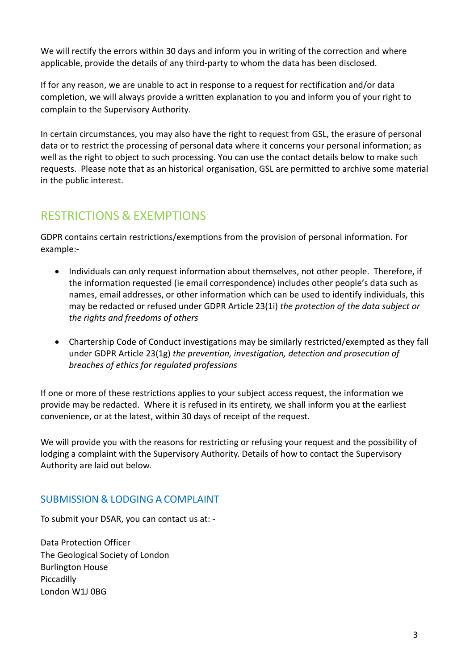We will rectify the errors within 30 days and inform you in writing of the correction and where applicable, provide the details of any third-party to whom the data has been disclosed.

If for any reason, we are unable to act in response to a request for rectification and/or data completion, we will always provide a written explanation to you and inform you of your right to complain to the Supervisory Authority.

In certain circumstances, you may also have the right to request from GSL, the erasure of personal data or to restrict the processing of personal data where it concerns your personal information; as well as the right to object to such processing. You can use the contact details below to make such requests. Please note that as an historical organisation, GSL are permitted to archive some material in the public interest.

## RESTRICTIONS & EXEMPTIONS

GDPR contains certain restrictions/exemptions from the provision of personal information. For example:-

- Individuals can only request information about themselves, not other people. Therefore, if the information requested (ie email correspondence) includes other people's data such as names, email addresses, or other information which can be used to identify individuals, this may be redacted or refused under GDPR Article 23(1i) *the protection of the data subject or the rights and freedoms of others*
- Chartership Code of Conduct investigations may be similarly restricted/exempted as they fall under GDPR Article 23(1g) *the prevention, investigation, detection and prosecution of breaches of ethics for regulated professions*

If one or more of these restrictions applies to your subject access request, the information we provide may be redacted. Where it is refused in its entirety, we shall inform you at the earliest convenience, or at the latest, within 30 days of receipt of the request.

We will provide you with the reasons for restricting or refusing your request and the possibility of lodging a complaint with the Supervisory Authority. Details of how to contact the Supervisory Authority are laid out below.

## SUBMISSION & LODGING A COMPLAINT

To submit your DSAR, you can contact us at: -

Data Protection Officer The Geological Society of London Burlington House Piccadilly London W1J 0BG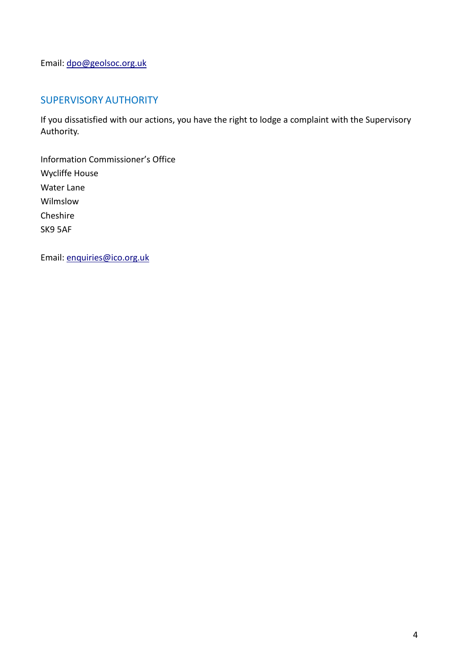Email: [dpo@geolsoc.org.uk](mailto:dpo@geolsoc.org.uk)

## SUPERVISORY AUTHORITY

If you dissatisfied with our actions, you have the right to lodge a complaint with the Supervisory Authority.

Information Commissioner's Office Wycliffe House Water Lane Wilmslow Cheshire SK9 5AF

Email: [enquiries@ico.org.uk](mailto:enquiries@ico.org.uk)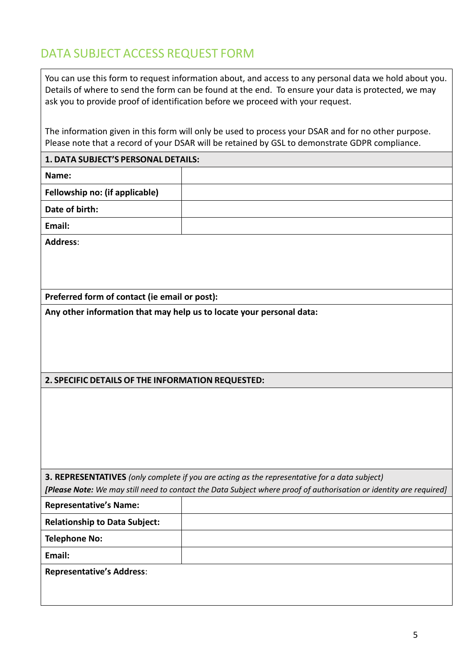# DATA SUBJECT ACCESS REQUEST FORM

You can use this form to request information about, and access to any personal data we hold about you. Details of where to send the form can be found at the end. To ensure your data is protected, we may ask you to provide proof of identification before we proceed with your request.

The information given in this form will only be used to process your DSAR and for no other purpose. Please note that a record of your DSAR will be retained by GSL to demonstrate GDPR compliance.

| 1. DATA SUBJECT'S PERSONAL DETAILS:                                                                                |  |  |
|--------------------------------------------------------------------------------------------------------------------|--|--|
| Name:                                                                                                              |  |  |
| Fellowship no: (if applicable)                                                                                     |  |  |
| Date of birth:                                                                                                     |  |  |
| Email:                                                                                                             |  |  |
| <b>Address:</b>                                                                                                    |  |  |
|                                                                                                                    |  |  |
|                                                                                                                    |  |  |
| Preferred form of contact (ie email or post):                                                                      |  |  |
| Any other information that may help us to locate your personal data:                                               |  |  |
|                                                                                                                    |  |  |
|                                                                                                                    |  |  |
|                                                                                                                    |  |  |
| 2. SPECIFIC DETAILS OF THE INFORMATION REQUESTED:                                                                  |  |  |
|                                                                                                                    |  |  |
|                                                                                                                    |  |  |
|                                                                                                                    |  |  |
|                                                                                                                    |  |  |
|                                                                                                                    |  |  |
| 3. REPRESENTATIVES (only complete if you are acting as the representative for a data subject)                      |  |  |
| [Please Note: We may still need to contact the Data Subject where proof of authorisation or identity are required] |  |  |
| <b>Representative's Name:</b>                                                                                      |  |  |
| <b>Relationship to Data Subject:</b>                                                                               |  |  |
| <b>Telephone No:</b>                                                                                               |  |  |
| Email:                                                                                                             |  |  |
| <b>Representative's Address:</b>                                                                                   |  |  |
|                                                                                                                    |  |  |
|                                                                                                                    |  |  |